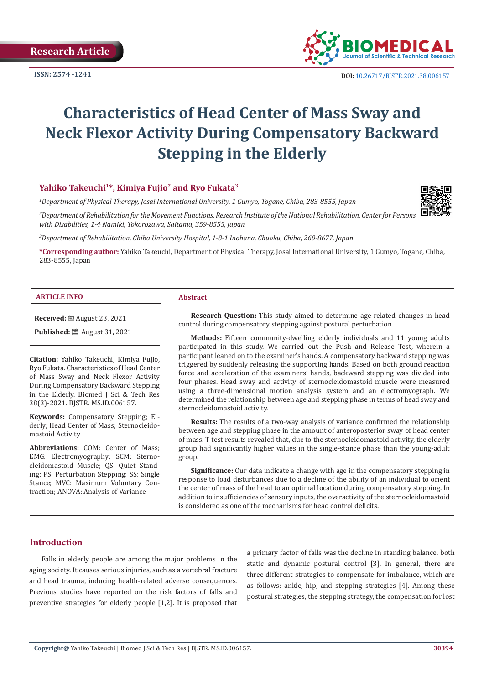**ISSN: 2574 -1241**



# **Characteristics of Head Center of Mass Sway and Neck Flexor Activity During Compensatory Backward Stepping in the Elderly**

# Yahiko Takeuchi<sup>1\*</sup>, Kimiya Fujio<sup>2</sup> and Ryo Fukata<sup>3</sup>

*1 Department of Physical Therapy, Josai International University, 1 Gumyo, Togane, Chiba, 283-8555, Japan*

*2 Department of Rehabilitation for the Movement Functions, Research Institute of the National Rehabilitation, Center for Persons with Disabilities, 1-4 Namiki, Tokorozawa, Saitama, 359-8555, Japan*

*3 Department of Rehabilitation, Chiba University Hospital, 1-8-1 Inohana, Chuoku, Chiba, 260-8677, Japan*

**\*Corresponding author:** Yahiko Takeuchi, Department of Physical Therapy, Josai International University, 1 Gumyo, Togane, Chiba, 283-8555, Japan

#### **ARTICLE INFO Abstract**

**Received:** August 23, 2021

**Published:** ■ August 31, 2021

**Citation:** Yahiko Takeuchi, Kimiya Fujio, Ryo Fukata. Characteristics of Head Center of Mass Sway and Neck Flexor Activity During Compensatory Backward Stepping in the Elderly. Biomed J Sci & Tech Res 38(3)-2021. BJSTR. MS.ID.006157.

**Keywords:** Compensatory Stepping; Elderly; Head Center of Mass; Sternocleidomastoid Activity

**Abbreviations:** COM: Center of Mass; EMG: Electromyography; SCM: Sternocleidomastoid Muscle; QS: Quiet Standing; PS: Perturbation Stepping; SS: Single Stance; MVC: Maximum Voluntary Contraction; ANOVA: Analysis of Variance

**Research Question:** This study aimed to determine age-related changes in head control during compensatory stepping against postural perturbation.

**Methods:** Fifteen community-dwelling elderly individuals and 11 young adults participated in this study. We carried out the Push and Release Test, wherein a participant leaned on to the examiner's hands. A compensatory backward stepping was triggered by suddenly releasing the supporting hands. Based on both ground reaction force and acceleration of the examiners' hands, backward stepping was divided into four phases. Head sway and activity of sternocleidomastoid muscle were measured using a three-dimensional motion analysis system and an electromyograph. We determined the relationship between age and stepping phase in terms of head sway and sternocleidomastoid activity.

**Results:** The results of a two-way analysis of variance confirmed the relationship between age and stepping phase in the amount of anteroposterior sway of head center of mass. T-test results revealed that, due to the sternocleidomastoid activity, the elderly group had significantly higher values in the single-stance phase than the young-adult group.

**Significance:** Our data indicate a change with age in the compensatory stepping in response to load disturbances due to a decline of the ability of an individual to orient the center of mass of the head to an optimal location during compensatory stepping. In addition to insufficiencies of sensory inputs, the overactivity of the sternocleidomastoid is considered as one of the mechanisms for head control deficits.

# **Introduction**

Falls in elderly people are among the major problems in the aging society. It causes serious injuries, such as a vertebral fracture and head trauma, inducing health-related adverse consequences. Previous studies have reported on the risk factors of falls and preventive strategies for elderly people [1,2]. It is proposed that a primary factor of falls was the decline in standing balance, both static and dynamic postural control [3]. In general, there are three different strategies to compensate for imbalance, which are as follows: ankle, hip, and stepping strategies [4]. Among these postural strategies, the stepping strategy, the compensation for lost

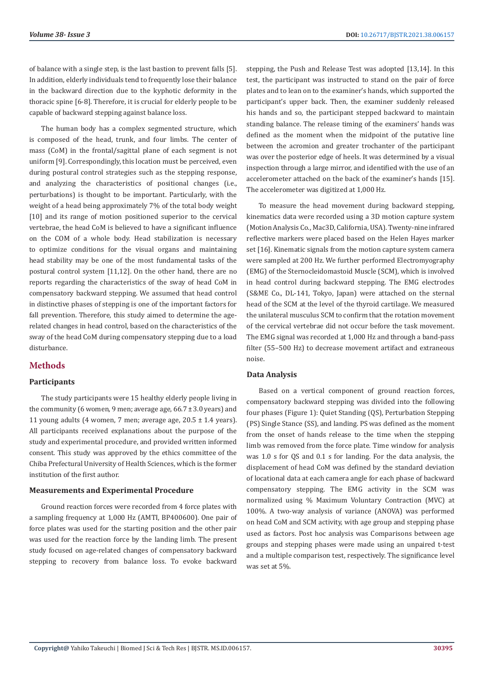of balance with a single step, is the last bastion to prevent falls [5]. In addition, elderly individuals tend to frequently lose their balance in the backward direction due to the kyphotic deformity in the thoracic spine [6-8]. Therefore, it is crucial for elderly people to be capable of backward stepping against balance loss.

The human body has a complex segmented structure, which is composed of the head, trunk, and four limbs. The center of mass (CoM) in the frontal/sagittal plane of each segment is not uniform [9]. Correspondingly, this location must be perceived, even during postural control strategies such as the stepping response, and analyzing the characteristics of positional changes (i.e., perturbations) is thought to be important. Particularly, with the weight of a head being approximately 7% of the total body weight [10] and its range of motion positioned superior to the cervical vertebrae, the head CoM is believed to have a significant influence on the COM of a whole body. Head stabilization is necessary to optimize conditions for the visual organs and maintaining head stability may be one of the most fundamental tasks of the postural control system [11,12]. On the other hand, there are no reports regarding the characteristics of the sway of head CoM in compensatory backward stepping. We assumed that head control in distinctive phases of stepping is one of the important factors for fall prevention. Therefore, this study aimed to determine the agerelated changes in head control, based on the characteristics of the sway of the head CoM during compensatory stepping due to a load disturbance.

# **Methods**

#### **Participants**

The study participants were 15 healthy elderly people living in the community (6 women, 9 men; average age,  $66.7 \pm 3.0$  years) and 11 young adults (4 women, 7 men; average age, 20.5 ± 1.4 years). All participants received explanations about the purpose of the study and experimental procedure, and provided written informed consent. This study was approved by the ethics committee of the Chiba Prefectural University of Health Sciences, which is the former institution of the first author.

#### **Measurements and Experimental Procedure**

Ground reaction forces were recorded from 4 force plates with a sampling frequency at 1,000 Hz (AMTI, BP400600). One pair of force plates was used for the starting position and the other pair was used for the reaction force by the landing limb. The present study focused on age-related changes of compensatory backward stepping to recovery from balance loss. To evoke backward

stepping, the Push and Release Test was adopted [13,14]. In this test, the participant was instructed to stand on the pair of force plates and to lean on to the examiner's hands, which supported the participant's upper back. Then, the examiner suddenly released his hands and so, the participant stepped backward to maintain standing balance. The release timing of the examiners' hands was defined as the moment when the midpoint of the putative line between the acromion and greater trochanter of the participant was over the posterior edge of heels. It was determined by a visual inspection through a large mirror, and identified with the use of an accelerometer attached on the back of the examiner's hands [15]. The accelerometer was digitized at 1,000 Hz.

To measure the head movement during backward stepping, kinematics data were recorded using a 3D motion capture system (Motion Analysis Co., Mac3D, California, USA). Twenty-nine infrared reflective markers were placed based on the Helen Hayes marker set [16]. Kinematic signals from the motion capture system camera were sampled at 200 Hz. We further performed Electromyography (EMG) of the Sternocleidomastoid Muscle (SCM), which is involved in head control during backward stepping. The EMG electrodes (S&ME Co., DL-141, Tokyo, Japan) were attached on the sternal head of the SCM at the level of the thyroid cartilage. We measured the unilateral musculus SCM to confirm that the rotation movement of the cervical vertebrae did not occur before the task movement. The EMG signal was recorded at 1,000 Hz and through a band-pass filter (55–500 Hz) to decrease movement artifact and extraneous noise.

### **Data Analysis**

Based on a vertical component of ground reaction forces, compensatory backward stepping was divided into the following four phases (Figure 1): Quiet Standing (QS), Perturbation Stepping (PS) Single Stance (SS), and landing. PS was defined as the moment from the onset of hands release to the time when the stepping limb was removed from the force plate. Time window for analysis was 1.0 s for QS and 0.1 s for landing. For the data analysis, the displacement of head CoM was defined by the standard deviation of locational data at each camera angle for each phase of backward compensatory stepping. The EMG activity in the SCM was normalized using % Maximum Voluntary Contraction (MVC) at 100%. A two-way analysis of variance (ANOVA) was performed on head CoM and SCM activity, with age group and stepping phase used as factors. Post hoc analysis was Comparisons between age groups and stepping phases were made using an unpaired t-test and a multiple comparison test, respectively. The significance level was set at 5%.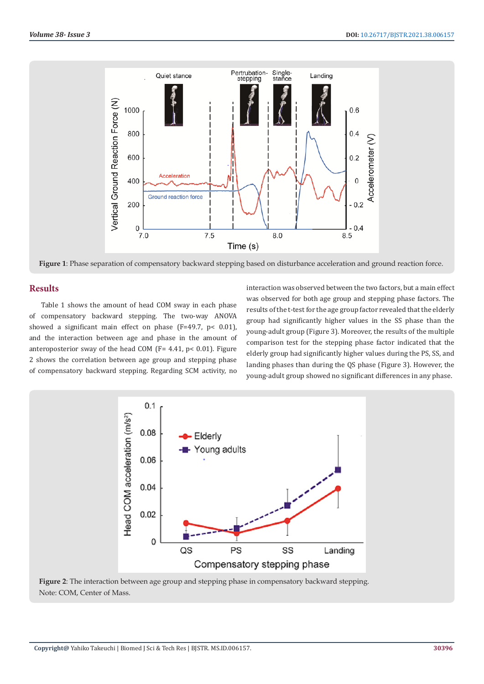

**Figure 1**: Phase separation of compensatory backward stepping based on disturbance acceleration and ground reaction force.

# **Results**

Table 1 shows the amount of head COM sway in each phase of compensatory backward stepping. The two-way ANOVA showed a significant main effect on phase (F=49.7, p< 0.01), and the interaction between age and phase in the amount of anteroposterior sway of the head COM (F= 4.41, p< 0.01). Figure 2 shows the correlation between age group and stepping phase of compensatory backward stepping. Regarding SCM activity, no

interaction was observed between the two factors, but a main effect was observed for both age group and stepping phase factors. The results of the t-test for the age group factor revealed that the elderly group had significantly higher values in the SS phase than the young-adult group (Figure 3). Moreover, the results of the multiple comparison test for the stepping phase factor indicated that the elderly group had significantly higher values during the PS, SS, and landing phases than during the QS phase (Figure 3). However, the young-adult group showed no significant differences in any phase.



**Figure 2**: The interaction between age group and stepping phase in compensatory backward stepping. Note: COM, Center of Mass.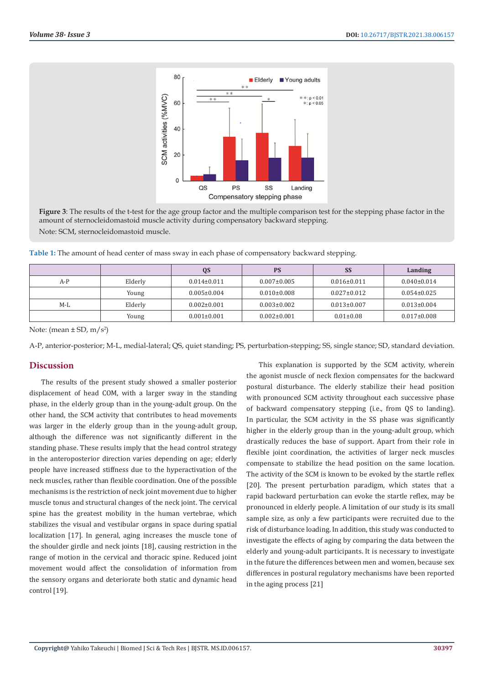

**Figure 3**: The results of the t-test for the age group factor and the multiple comparison test for the stepping phase factor in the amount of sternocleidomastoid muscle activity during compensatory backward stepping. Note: SCM, sternocleidomastoid muscle.

| Table 1: The amount of head center of mass sway in each phase of compensatory backward stepping. |  |  |
|--------------------------------------------------------------------------------------------------|--|--|
|                                                                                                  |  |  |

|       |         | QS                | <b>PS</b>         | <b>SS</b>         | Landing           |
|-------|---------|-------------------|-------------------|-------------------|-------------------|
| $A-P$ | Elderly | $0.014 \pm 0.011$ | $0.007 \pm 0.005$ | $0.016 \pm 0.011$ | $0.040\pm0.014$   |
|       | Young   | $0.005 \pm 0.004$ | $0.010\pm0.008$   | $0.027 \pm 0.012$ | $0.054 \pm 0.025$ |
| $M-L$ | Elderly | $0.002 \pm 0.001$ | $0.003 \pm 0.002$ | $0.013 \pm 0.007$ | $0.013 \pm 0.004$ |
|       | Young   | $0.001 \pm 0.001$ | $0.002 \pm 0.001$ | $0.01 \pm 0.08$   | $0.017 \pm 0.008$ |

Note: (mean  $\pm$  SD, m/s<sup>2</sup>)

A-P, anterior-posterior; M-L, medial-lateral; QS, quiet standing; PS, perturbation-stepping; SS, single stance; SD, standard deviation.

### **Discussion**

The results of the present study showed a smaller posterior displacement of head COM, with a larger sway in the standing phase, in the elderly group than in the young-adult group. On the other hand, the SCM activity that contributes to head movements was larger in the elderly group than in the young-adult group, although the difference was not significantly different in the standing phase. These results imply that the head control strategy in the anteroposterior direction varies depending on age; elderly people have increased stiffness due to the hyperactivation of the neck muscles, rather than flexible coordination. One of the possible mechanisms is the restriction of neck joint movement due to higher muscle tonus and structural changes of the neck joint. The cervical spine has the greatest mobility in the human vertebrae, which stabilizes the visual and vestibular organs in space during spatial localization [17]. In general, aging increases the muscle tone of the shoulder girdle and neck joints [18], causing restriction in the range of motion in the cervical and thoracic spine. Reduced joint movement would affect the consolidation of information from the sensory organs and deteriorate both static and dynamic head control [19].

This explanation is supported by the SCM activity, wherein the agonist muscle of neck flexion compensates for the backward postural disturbance. The elderly stabilize their head position with pronounced SCM activity throughout each successive phase of backward compensatory stepping (i.e., from QS to landing). In particular, the SCM activity in the SS phase was significantly higher in the elderly group than in the young-adult group, which drastically reduces the base of support. Apart from their role in flexible joint coordination, the activities of larger neck muscles compensate to stabilize the head position on the same location. The activity of the SCM is known to be evoked by the startle reflex [20]. The present perturbation paradigm, which states that a rapid backward perturbation can evoke the startle reflex, may be pronounced in elderly people. A limitation of our study is its small sample size, as only a few participants were recruited due to the risk of disturbance loading. In addition, this study was conducted to investigate the effects of aging by comparing the data between the elderly and young-adult participants. It is necessary to investigate in the future the differences between men and women, because sex differences in postural regulatory mechanisms have been reported in the aging process [21]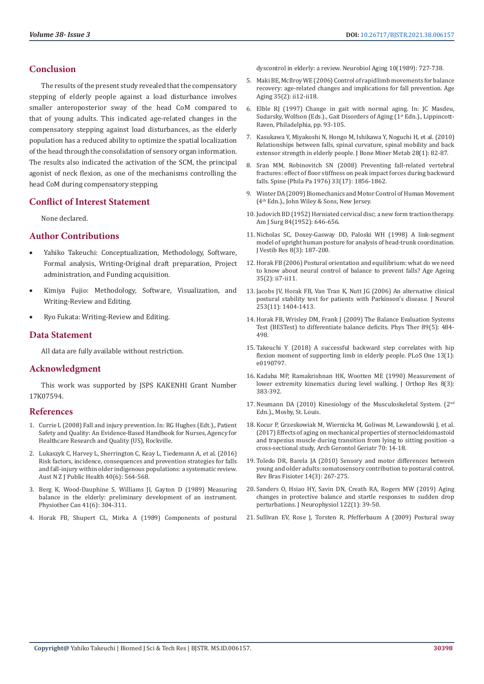# **Conclusion**

The results of the present study revealed that the compensatory stepping of elderly people against a load disturbance involves smaller anteroposterior sway of the head CoM compared to that of young adults. This indicated age-related changes in the compensatory stepping against load disturbances, as the elderly population has a reduced ability to optimize the spatial localization of the head through the consolidation of sensory organ information. The results also indicated the activation of the SCM, the principal agonist of neck flexion, as one of the mechanisms controlling the head CoM during compensatory stepping.

# **Conflict of Interest Statement**

None declared.

# **Author Contributions**

- Yahiko Takeuchi: Conceptualization, Methodology, Software, Formal analysis, Writing-Original draft preparation, Project administration, and Funding acquisition.
- Kimiya Fujio: Methodology, Software, Visualization, and Writing-Review and Editing.
- Ryo Fukata: Writing-Review and Editing.

# **Data Statement**

All data are fully available without restriction.

# **Acknowledgment**

This work was supported by JSPS KAKENHI Grant Number 17K07594.

### **References**

- 1. [Currie L \(2008\) Fall and injury prevention. In: RG Hughes \(Edt.\)., Patient](https://www.researchgate.net/publication/268043663_Patient_Safety_and_Quality_An_Evidence-Based_Handbook_for_Nurses)  [Safety and Quality: An Evidence-Based Handbook for Nurses, Agency for](https://www.researchgate.net/publication/268043663_Patient_Safety_and_Quality_An_Evidence-Based_Handbook_for_Nurses)  [Healthcare Research and Quality \(US\), Rockville.](https://www.researchgate.net/publication/268043663_Patient_Safety_and_Quality_An_Evidence-Based_Handbook_for_Nurses)
- 2. [Lukaszyk C, Harvey L, Sherrington C, Keay L, Tiedemann A, et al. \(2016\)](https://pubmed.ncbi.nlm.nih.gov/27774702/)  [Risk factors, incidence, consequences and prevention strategies for falls](https://pubmed.ncbi.nlm.nih.gov/27774702/)  [and fall-injury within older indigenous populations: a systematic review.](https://pubmed.ncbi.nlm.nih.gov/27774702/)  [Aust N Z J Public Health 40\(6\): 564-568.](https://pubmed.ncbi.nlm.nih.gov/27774702/)
- 3. [Berg K, Wood-Dauphine S, Williams JI, Gayton D \(1989\) Measuring](https://utpjournals.press/doi/abs/10.3138/ptc.41.6.304)  [balance in the elderly: preliminary development of an instrument.](https://utpjournals.press/doi/abs/10.3138/ptc.41.6.304)  [Physiother Can 41\(6\): 304-311.](https://utpjournals.press/doi/abs/10.3138/ptc.41.6.304)
- 4. [Horak FB, Shupert CL, Mirka A \(1989\) Components of postural](https://pubmed.ncbi.nlm.nih.gov/2697808/)

[dyscontrol in elderly: a review. Neurobiol Aging 10\(1989\): 727-738.](https://pubmed.ncbi.nlm.nih.gov/2697808/)

- 5. [Maki BE, McIlroy WE \(2006\) Control of rapid limb movements for balance](https://pubmed.ncbi.nlm.nih.gov/16926197/) [recovery: age-related changes and implications for fall prevention. Age](https://pubmed.ncbi.nlm.nih.gov/16926197/) [Aging 35\(2\): ii12-ii18.](https://pubmed.ncbi.nlm.nih.gov/16926197/)
- 6. Elble RJ (1997) Change in gait with normal aging. In: JC Masdeu, Sudarsky, Wolfson (Eds.)., Gait Disorders of Aging (1st Edn.)., Lippincott-Raven, Philadelphia, pp. 93-105.
- 7. [Kasukawa Y, Miyakoshi N, Hongo M, Ishikawa Y, Noguchi H, et al. \(2010\)](https://pubmed.ncbi.nlm.nih.gov/19690799/) [Relationships between falls, spinal curvature, spinal mobility and back](https://pubmed.ncbi.nlm.nih.gov/19690799/) [extensor strength in elderly people. J Bone Miner Metab 28\(1\): 82-87.](https://pubmed.ncbi.nlm.nih.gov/19690799/)
- 8. [Sran MM, Robinovitch SN \(2008\) Preventing fall-related vertebral](https://journals.lww.com/spinejournal/Abstract/2008/08010/Preventing_Fall_Related_Vertebral_Fractures_.8.aspx) [fractures: effect of floor stiffness on peak impact forces during backward](https://journals.lww.com/spinejournal/Abstract/2008/08010/Preventing_Fall_Related_Vertebral_Fractures_.8.aspx) [falls. Spine \(Phila Pa 1976\) 33\(17\): 1856-1862.](https://journals.lww.com/spinejournal/Abstract/2008/08010/Preventing_Fall_Related_Vertebral_Fractures_.8.aspx)
- 9. [Winter DA \(2009\) Biomechanics and Motor Control of Human Movement](https://onlinelibrary.wiley.com/doi/book/10.1002/9780470549148) [\(4th Edn.\)., John Wiley & Sons, New Jersey.](https://onlinelibrary.wiley.com/doi/book/10.1002/9780470549148)
- 10. [Judovich BD \(1952\) Herniated cervical disc; a new form traction therapy.](https://pubmed.ncbi.nlm.nih.gov/12986095/) [Am J Surg 84\(1952\): 646-656.](https://pubmed.ncbi.nlm.nih.gov/12986095/)
- 11. [Nicholas SC, Doxey-Gasway DD, Paloski WH \(1998\) A link-segment](https://pubmed.ncbi.nlm.nih.gov/9626646/) [model of upright human posture for analysis of head-trunk coordination.](https://pubmed.ncbi.nlm.nih.gov/9626646/) [J Vestib Res 8\(3\): 187-200.](https://pubmed.ncbi.nlm.nih.gov/9626646/)
- 12. [Horak FB \(2006\) Postural orientation and equilibrium: what do we need](https://pubmed.ncbi.nlm.nih.gov/16926210/) [to know about neural control of balance to prevent falls? Age Ageing](https://pubmed.ncbi.nlm.nih.gov/16926210/) [35\(2\): ii7-ii11.](https://pubmed.ncbi.nlm.nih.gov/16926210/)
- 13. [Jacobs JV, Horak FB, Van Tran K, Nutt JG \(2006\) An alternative clinical](https://pubmed.ncbi.nlm.nih.gov/16788773/) [postural stability test for patients with Parkinson's disease. J Neurol](https://pubmed.ncbi.nlm.nih.gov/16788773/) [253\(11\): 1404-1413.](https://pubmed.ncbi.nlm.nih.gov/16788773/)
- 14. [Horak FB, Wrisley DM, Frank J \(2009\) The Balance Evaluation Systems](https://pubmed.ncbi.nlm.nih.gov/19329772/) [Test \(BESTest\) to differentiate balance deficits. Phys Ther 89\(5\): 484-](https://pubmed.ncbi.nlm.nih.gov/19329772/) [498.](https://pubmed.ncbi.nlm.nih.gov/19329772/)
- 15. [Takeuchi Y \(2018\) A successful backward step correlates with hip](https://journals.plos.org/plosone/article?id=10.1371/journal.pone.0190797) [flexion moment of supporting limb in elderly people. PLoS One 13\(1\):](https://journals.plos.org/plosone/article?id=10.1371/journal.pone.0190797) [e0190797.](https://journals.plos.org/plosone/article?id=10.1371/journal.pone.0190797)
- 16. [Kadaba MP, Ramakrishnan HK, Wootten ME \(1990\) Measurement of](https://pubmed.ncbi.nlm.nih.gov/2324857/) [lower extremity kinematics during level walking. J Orthop Res 8\(3\):](https://pubmed.ncbi.nlm.nih.gov/2324857/) [383-392.](https://pubmed.ncbi.nlm.nih.gov/2324857/)
- 17. [Neumann DA \(2010\) Kinesiology of the Musculoskeletal System. \(2](https://www.elsevier.com/books/kinesiology-of-the-musculoskeletal-system/neumann/978-0-323-28753-1)<sup>nd</sup> [Edn.\)., Mosby, St. Louis.](https://www.elsevier.com/books/kinesiology-of-the-musculoskeletal-system/neumann/978-0-323-28753-1)
- 18. [Kocur P, Grzeskowiak M, Wiernicka M, Goliwas M, Lewandowski J, et al.](https://pubmed.ncbi.nlm.nih.gov/28012296/) [\(2017\) Effects of aging on mechanical properties of sternocleidomastoid](https://pubmed.ncbi.nlm.nih.gov/28012296/) [and trapezius muscle during transition from lying to sitting position -a](https://pubmed.ncbi.nlm.nih.gov/28012296/) [cross-sectional study, Arch Gerontol Geriatr 70: 14-18.](https://pubmed.ncbi.nlm.nih.gov/28012296/)
- 19. [Toledo DR, Barela JA \(2010\) Sensory and motor differences between](https://pubmed.ncbi.nlm.nih.gov/20730372/) [young and older adults: somatosensory contribution to postural control.](https://pubmed.ncbi.nlm.nih.gov/20730372/) [Rev Bras Fisioter 14\(3\): 267-275.](https://pubmed.ncbi.nlm.nih.gov/20730372/)
- 20. [Sanders O, Hsiao HY, Savin DN, Creath RA, Rogers MW \(2019\) Aging](https://pubmed.ncbi.nlm.nih.gov/31017835/) [changes in protective balance and startle responses to sudden drop](https://pubmed.ncbi.nlm.nih.gov/31017835/) [perturbations. J Neurophysiol 122\(1\): 39-50.](https://pubmed.ncbi.nlm.nih.gov/31017835/)
- 21. [Sullivan EV, Rose J, Torsten R, Pfefferbaum A \(2009\) Postural sway](https://pubmed.ncbi.nlm.nih.gov/17920729/)